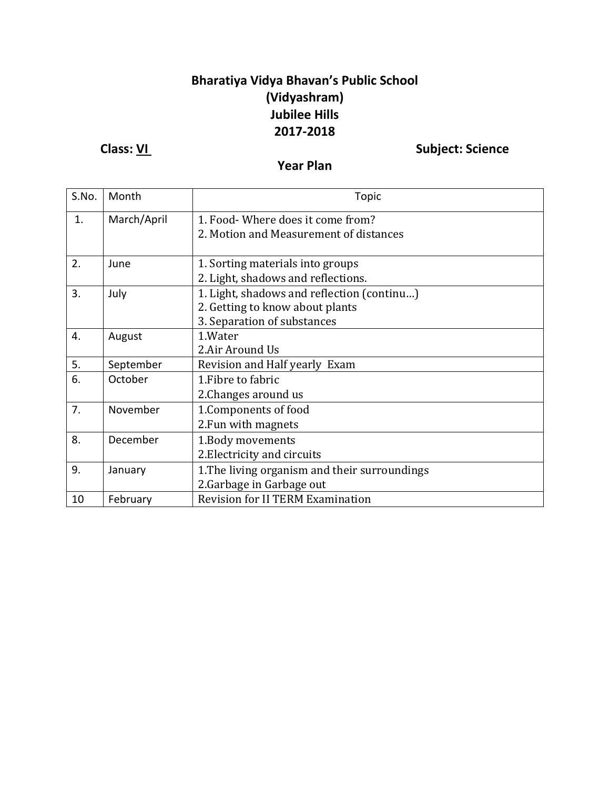## **Bharatiya Vidya Bhavan's Public School (Vidyashram) Jubilee Hills 2017-2018**

**Class:** <u>VI</u> Subject: Science

**Year Plan**

| S.No. | Month       | Topic                                                                                                        |  |
|-------|-------------|--------------------------------------------------------------------------------------------------------------|--|
| 1.    | March/April | 1. Food- Where does it come from?<br>2. Motion and Measurement of distances                                  |  |
| 2.    | June        | 1. Sorting materials into groups<br>2. Light, shadows and reflections.                                       |  |
| 3.    | July        | 1. Light, shadows and reflection (continu)<br>2. Getting to know about plants<br>3. Separation of substances |  |
| 4.    | August      | 1.Water<br>2.Air Around Us                                                                                   |  |
| 5.    | September   | Revision and Half yearly Exam                                                                                |  |
| 6.    | October     | 1. Fibre to fabric<br>2. Changes around us                                                                   |  |
| 7.    | November    | 1. Components of food<br>2. Fun with magnets                                                                 |  |
| 8.    | December    | 1. Body movements<br>2. Electricity and circuits                                                             |  |
| 9.    | January     | 1. The living organism and their surroundings<br>2. Garbage in Garbage out                                   |  |
| 10    | February    | <b>Revision for II TERM Examination</b>                                                                      |  |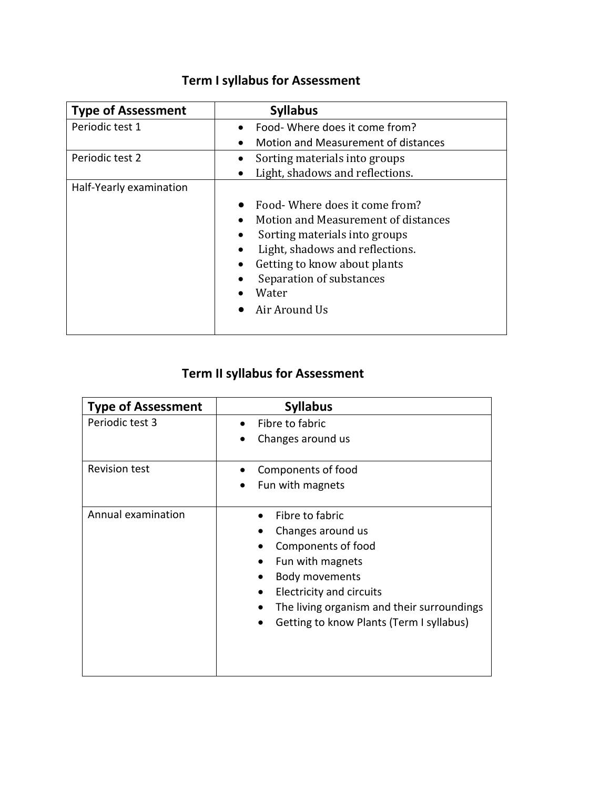| <b>Type of Assessment</b> | <b>Syllabus</b>                     |
|---------------------------|-------------------------------------|
| Periodic test 1           | Food- Where does it come from?      |
|                           | Motion and Measurement of distances |
| Periodic test 2           | Sorting materials into groups       |
|                           | Light, shadows and reflections.     |
| Half-Yearly examination   |                                     |
|                           | Food- Where does it come from?      |
|                           | Motion and Measurement of distances |
|                           | Sorting materials into groups       |
|                           | Light, shadows and reflections.     |
|                           | Getting to know about plants        |
|                           | Separation of substances            |
|                           | Water                               |
|                           | Air Around Us                       |

## **Term I syllabus for Assessment**

## **Term II syllabus for Assessment**

| <b>Type of Assessment</b> | <b>Syllabus</b>                                                                                                                                                                                                               |  |
|---------------------------|-------------------------------------------------------------------------------------------------------------------------------------------------------------------------------------------------------------------------------|--|
| Periodic test 3           | Fibre to fabric<br>Changes around us                                                                                                                                                                                          |  |
| <b>Revision test</b>      | Components of food<br>Fun with magnets                                                                                                                                                                                        |  |
| Annual examination        | Fibre to fabric<br>Changes around us<br>Components of food<br>Fun with magnets<br>Body movements<br><b>Electricity and circuits</b><br>The living organism and their surroundings<br>Getting to know Plants (Term I syllabus) |  |